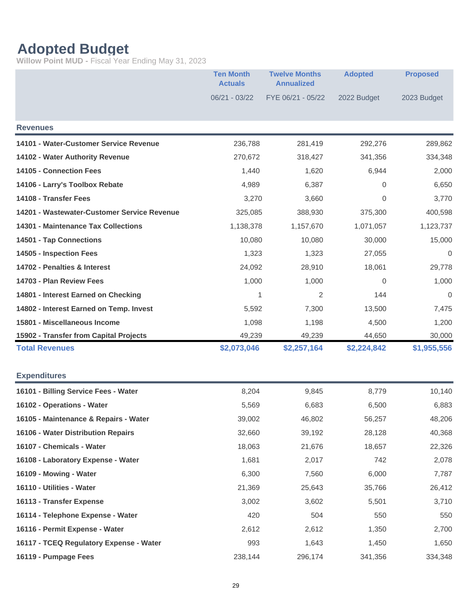## **Adopted Budget**

**Willow Point MUD -** Fiscal Year Ending May 31, 2023

|                                             | <b>Ten Month</b><br><b>Actuals</b><br>$06/21 - 03/22$ | <b>Twelve Months</b><br><b>Annualized</b><br>FYE 06/21 - 05/22 | <b>Adopted</b><br>2022 Budget | <b>Proposed</b><br>2023 Budget |
|---------------------------------------------|-------------------------------------------------------|----------------------------------------------------------------|-------------------------------|--------------------------------|
|                                             |                                                       |                                                                |                               |                                |
|                                             |                                                       |                                                                |                               |                                |
| <b>Revenues</b>                             |                                                       |                                                                |                               |                                |
| 14101 - Water-Customer Service Revenue      | 236,788                                               | 281,419                                                        | 292,276                       | 289,862                        |
| 14102 - Water Authority Revenue             | 270,672                                               | 318,427                                                        | 341,356                       | 334,348                        |
| 14105 - Connection Fees                     | 1,440                                                 | 1,620                                                          | 6,944                         | 2,000                          |
| 14106 - Larry's Toolbox Rebate              | 4,989                                                 | 6,387                                                          | $\Omega$                      | 6,650                          |
| 14108 - Transfer Fees                       | 3,270                                                 | 3,660                                                          | 0                             | 3,770                          |
| 14201 - Wastewater-Customer Service Revenue | 325,085                                               | 388,930                                                        | 375,300                       | 400,598                        |
| 14301 - Maintenance Tax Collections         | 1,138,378                                             | 1,157,670                                                      | 1,071,057                     | 1,123,737                      |
| 14501 - Tap Connections                     | 10,080                                                | 10,080                                                         | 30,000                        | 15,000                         |
| 14505 - Inspection Fees                     | 1,323                                                 | 1,323                                                          | 27,055                        | 0                              |
| 14702 - Penalties & Interest                | 24,092                                                | 28,910                                                         | 18,061                        | 29,778                         |
| 14703 - Plan Review Fees                    | 1,000                                                 | 1,000                                                          | 0                             | 1,000                          |
| 14801 - Interest Earned on Checking         | 1                                                     | $\overline{2}$                                                 | 144                           | 0                              |
| 14802 - Interest Earned on Temp. Invest     | 5,592                                                 | 7,300                                                          | 13,500                        | 7,475                          |
| 15801 - Miscellaneous Income                | 1,098                                                 | 1,198                                                          | 4,500                         | 1,200                          |
| 15902 - Transfer from Capital Projects      | 49,239                                                | 49,239                                                         | 44,650                        | 30,000                         |
| <b>Total Revenues</b>                       | \$2,073,046                                           | \$2,257,164                                                    | \$2,224,842                   | \$1,955,556                    |
|                                             |                                                       |                                                                |                               |                                |
| <b>Expenditures</b>                         |                                                       |                                                                |                               |                                |
| 16101 - Billing Service Fees - Water        | 8,204                                                 | 9,845                                                          | 8,779                         | 10,140                         |
| 16102 - Operations - Water                  | 5,569                                                 | 6,683                                                          | 6,500                         | 6,883                          |
| 16105 - Maintenance & Repairs - Water       | 39,002                                                | 46,802                                                         | 56,257                        | 48,206                         |
| 16106 - Water Distribution Repairs          | 32,660                                                | 39,192                                                         | 28,128                        | 40,368                         |
| 16107 - Chemicals - Water                   | 18,063                                                | 21,676                                                         | 18,657                        | 22,326                         |
| 16108 - Laboratory Expense - Water          | 1,681                                                 | 2,017                                                          | 742                           | 2,078                          |
| 16109 - Mowing - Water                      | 6,300                                                 | 7,560                                                          | 6,000                         | 7,787                          |
| 16110 - Utilities - Water                   | 21,369                                                | 25,643                                                         | 35,766                        | 26,412                         |
| 16113 - Transfer Expense                    | 3,002                                                 | 3,602                                                          | 5,501                         | 3,710                          |
| 16114 - Telephone Expense - Water           | 420                                                   | 504                                                            | 550                           | 550                            |
| 16116 - Permit Expense - Water              | 2,612                                                 | 2,612                                                          | 1,350                         | 2,700                          |
| 16117 - TCEQ Regulatory Expense - Water     | 993                                                   | 1,643                                                          | 1,450                         | 1,650                          |
| 16119 - Pumpage Fees                        | 238,144                                               | 296,174                                                        | 341,356                       | 334,348                        |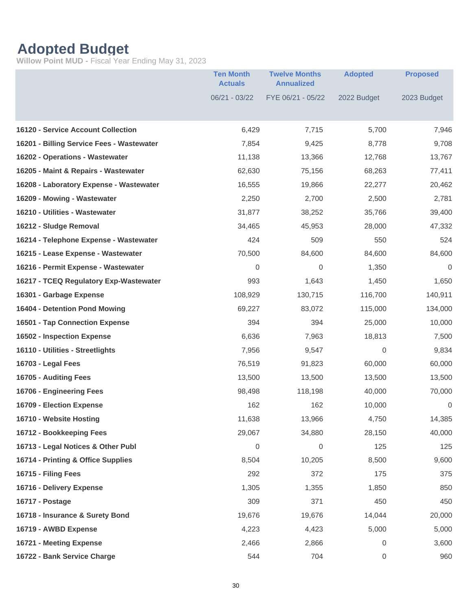## **Adopted Budget**

**Willow Point MUD -** Fiscal Year Ending May 31, 2023

|                                           | <b>Ten Month</b><br><b>Actuals</b><br>06/21 - 03/22 | <b>Twelve Months</b><br><b>Annualized</b><br>FYE 06/21 - 05/22 | <b>Adopted</b><br>2022 Budget | <b>Proposed</b><br>2023 Budget |
|-------------------------------------------|-----------------------------------------------------|----------------------------------------------------------------|-------------------------------|--------------------------------|
|                                           |                                                     |                                                                |                               |                                |
| <b>16120 - Service Account Collection</b> | 6,429                                               | 7,715                                                          | 5,700                         | 7,946                          |
| 16201 - Billing Service Fees - Wastewater | 7,854                                               | 9,425                                                          | 8,778                         | 9,708                          |
| 16202 - Operations - Wastewater           | 11,138                                              | 13,366                                                         | 12,768                        | 13,767                         |
| 16205 - Maint & Repairs - Wastewater      | 62,630                                              | 75,156                                                         | 68,263                        | 77,411                         |
| 16208 - Laboratory Expense - Wastewater   | 16,555                                              | 19,866                                                         | 22,277                        | 20,462                         |
| 16209 - Mowing - Wastewater               | 2,250                                               | 2,700                                                          | 2,500                         | 2,781                          |
| 16210 - Utilities - Wastewater            | 31,877                                              | 38,252                                                         | 35,766                        | 39,400                         |
| 16212 - Sludge Removal                    | 34,465                                              | 45,953                                                         | 28,000                        | 47,332                         |
| 16214 - Telephone Expense - Wastewater    | 424                                                 | 509                                                            | 550                           | 524                            |
| 16215 - Lease Expense - Wastewater        | 70,500                                              | 84,600                                                         | 84,600                        | 84,600                         |
| 16216 - Permit Expense - Wastewater       | 0                                                   | 0                                                              | 1,350                         | 0                              |
| 16217 - TCEQ Regulatory Exp-Wastewater    | 993                                                 | 1,643                                                          | 1,450                         | 1,650                          |
| 16301 - Garbage Expense                   | 108,929                                             | 130,715                                                        | 116,700                       | 140,911                        |
| 16404 - Detention Pond Mowing             | 69,227                                              | 83,072                                                         | 115,000                       | 134,000                        |
| 16501 - Tap Connection Expense            | 394                                                 | 394                                                            | 25,000                        | 10,000                         |
| 16502 - Inspection Expense                | 6,636                                               | 7,963                                                          | 18,813                        | 7,500                          |
| 16110 - Utilities - Streetlights          | 7,956                                               | 9,547                                                          | $\Omega$                      | 9,834                          |
| 16703 - Legal Fees                        | 76,519                                              | 91,823                                                         | 60,000                        | 60,000                         |
| 16705 - Auditing Fees                     | 13,500                                              | 13,500                                                         | 13,500                        | 13,500                         |
| 16706 - Engineering Fees                  | 98,498                                              | 118,198                                                        | 40,000                        | 70,000                         |
| 16709 - Election Expense                  | 162                                                 | 162                                                            | 10,000                        | 0                              |
| 16710 - Website Hosting                   | 11,638                                              | 13,966                                                         | 4,750                         | 14,385                         |
| 16712 - Bookkeeping Fees                  | 29,067                                              | 34,880                                                         | 28,150                        | 40,000                         |
| 16713 - Legal Notices & Other Publ        | 0                                                   | 0                                                              | 125                           | 125                            |
| 16714 - Printing & Office Supplies        | 8,504                                               | 10,205                                                         | 8,500                         | 9,600                          |
| 16715 - Filing Fees                       | 292                                                 | 372                                                            | 175                           | 375                            |
| 16716 - Delivery Expense                  | 1,305                                               | 1,355                                                          | 1,850                         | 850                            |
| 16717 - Postage                           | 309                                                 | 371                                                            | 450                           | 450                            |
| 16718 - Insurance & Surety Bond           | 19,676                                              | 19,676                                                         | 14,044                        | 20,000                         |
| 16719 - AWBD Expense                      | 4,223                                               | 4,423                                                          | 5,000                         | 5,000                          |
| 16721 - Meeting Expense                   | 2,466                                               | 2,866                                                          | 0                             | 3,600                          |
| 16722 - Bank Service Charge               | 544                                                 | 704                                                            | 0                             | 960                            |